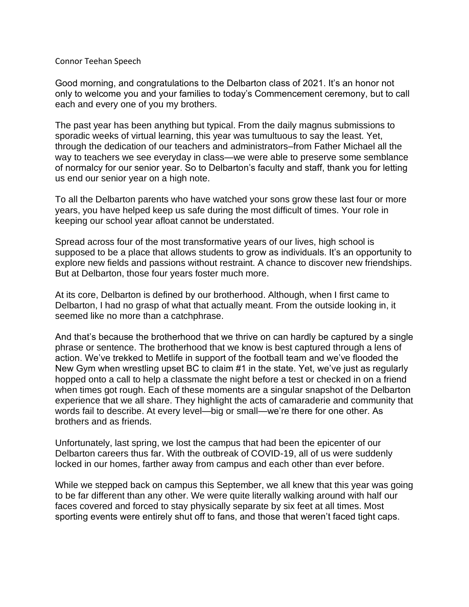## Connor Teehan Speech

Good morning, and congratulations to the Delbarton class of 2021. It's an honor not only to welcome you and your families to today's Commencement ceremony, but to call each and every one of you my brothers.

The past year has been anything but typical. From the daily magnus submissions to sporadic weeks of virtual learning, this year was tumultuous to say the least. Yet, through the dedication of our teachers and administrators–from Father Michael all the way to teachers we see everyday in class—we were able to preserve some semblance of normalcy for our senior year. So to Delbarton's faculty and staff, thank you for letting us end our senior year on a high note.

To all the Delbarton parents who have watched your sons grow these last four or more years, you have helped keep us safe during the most difficult of times. Your role in keeping our school year afloat cannot be understated.

Spread across four of the most transformative years of our lives, high school is supposed to be a place that allows students to grow as individuals. It's an opportunity to explore new fields and passions without restraint. A chance to discover new friendships. But at Delbarton, those four years foster much more.

At its core, Delbarton is defined by our brotherhood. Although, when I first came to Delbarton, I had no grasp of what that actually meant. From the outside looking in, it seemed like no more than a catchphrase.

And that's because the brotherhood that we thrive on can hardly be captured by a single phrase or sentence. The brotherhood that we know is best captured through a lens of action. We've trekked to Metlife in support of the football team and we've flooded the New Gym when wrestling upset BC to claim #1 in the state. Yet, we've just as regularly hopped onto a call to help a classmate the night before a test or checked in on a friend when times got rough. Each of these moments are a singular snapshot of the Delbarton experience that we all share. They highlight the acts of camaraderie and community that words fail to describe. At every level—big or small—we're there for one other. As brothers and as friends.

Unfortunately, last spring, we lost the campus that had been the epicenter of our Delbarton careers thus far. With the outbreak of COVID-19, all of us were suddenly locked in our homes, farther away from campus and each other than ever before.

While we stepped back on campus this September, we all knew that this year was going to be far different than any other. We were quite literally walking around with half our faces covered and forced to stay physically separate by six feet at all times. Most sporting events were entirely shut off to fans, and those that weren't faced tight caps.